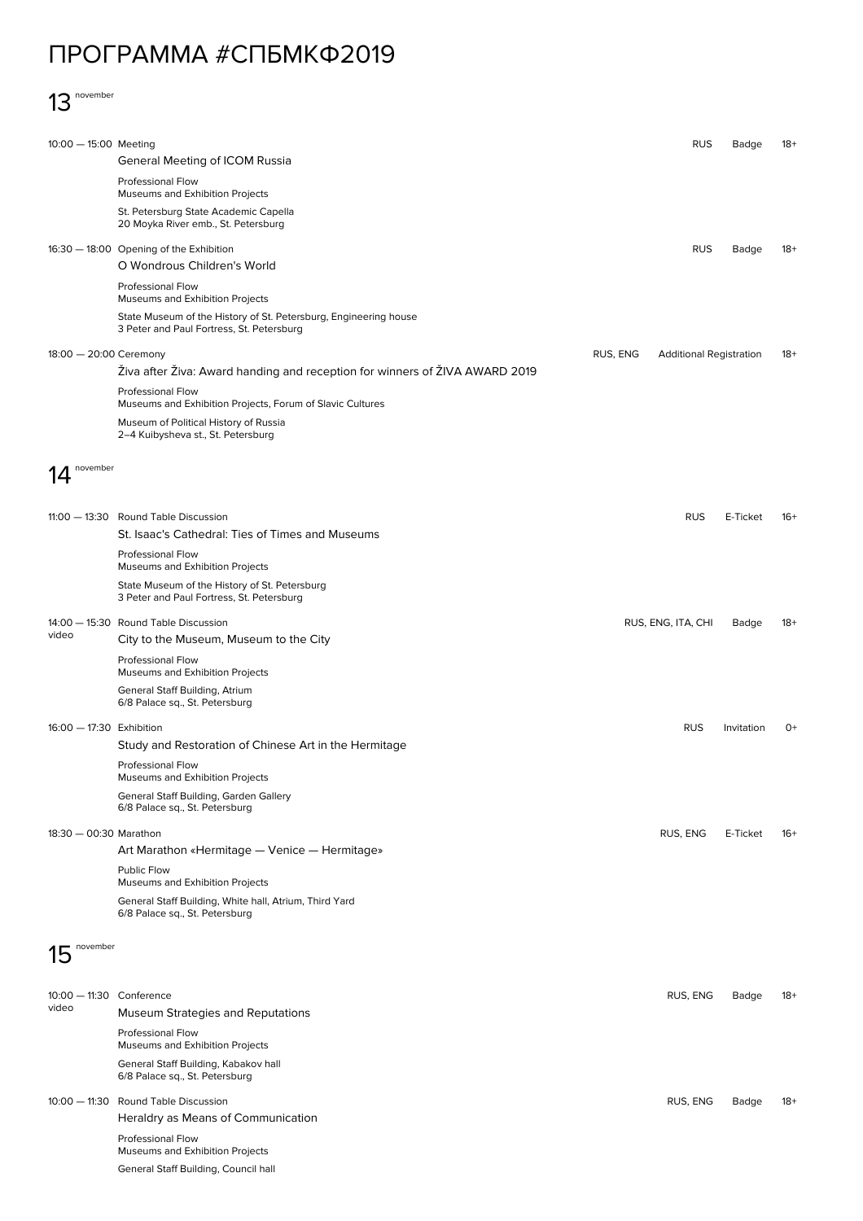## ПРОГРАММА #СПБМКФ2019

## 13 november

| 10:00 - 15:00 Meeting             |                                                                                                               |          | <b>RUS</b>                     | Badge      | $18+$ |
|-----------------------------------|---------------------------------------------------------------------------------------------------------------|----------|--------------------------------|------------|-------|
|                                   | General Meeting of ICOM Russia<br><b>Professional Flow</b>                                                    |          |                                |            |       |
|                                   | Museums and Exhibition Projects                                                                               |          |                                |            |       |
|                                   | St. Petersburg State Academic Capella<br>20 Moyka River emb., St. Petersburg                                  |          |                                |            |       |
|                                   | 16:30 - 18:00 Opening of the Exhibition<br>O Wondrous Children's World                                        |          | <b>RUS</b>                     | Badge      | 18+   |
|                                   | <b>Professional Flow</b><br>Museums and Exhibition Projects                                                   |          |                                |            |       |
|                                   | State Museum of the History of St. Petersburg, Engineering house<br>3 Peter and Paul Fortress, St. Petersburg |          |                                |            |       |
| 18:00 - 20:00 Ceremony            |                                                                                                               | RUS, ENG | <b>Additional Registration</b> |            | $18+$ |
|                                   | Živa after Živa: Award handing and reception for winners of ŽIVA AWARD 2019<br>Professional Flow              |          |                                |            |       |
|                                   | Museums and Exhibition Projects, Forum of Slavic Cultures                                                     |          |                                |            |       |
|                                   | Museum of Political History of Russia<br>2-4 Kuibysheva st., St. Petersburg                                   |          |                                |            |       |
| november                          |                                                                                                               |          |                                |            |       |
|                                   |                                                                                                               |          |                                |            |       |
|                                   | 11:00 - 13:30 Round Table Discussion                                                                          |          | <b>RUS</b>                     | E-Ticket   | -16+  |
|                                   | St. Isaac's Cathedral: Ties of Times and Museums                                                              |          |                                |            |       |
|                                   | Professional Flow<br>Museums and Exhibition Projects                                                          |          |                                |            |       |
|                                   | State Museum of the History of St. Petersburg<br>3 Peter and Paul Fortress, St. Petersburg                    |          |                                |            |       |
| video                             | 14:00 - 15:30 Round Table Discussion<br>City to the Museum, Museum to the City                                |          | RUS, ENG, ITA, CHI             | Badge      | 18+   |
|                                   | <b>Professional Flow</b><br>Museums and Exhibition Projects                                                   |          |                                |            |       |
|                                   | General Staff Building, Atrium<br>6/8 Palace sq., St. Petersburg                                              |          |                                |            |       |
| 16:00 - 17:30 Exhibition          |                                                                                                               |          | <b>RUS</b>                     | Invitation | $O+$  |
|                                   | Study and Restoration of Chinese Art in the Hermitage                                                         |          |                                |            |       |
|                                   | Professional Flow<br>Museums and Exhibition Projects                                                          |          |                                |            |       |
|                                   | General Staff Building, Garden Gallery<br>6/8 Palace sq., St. Petersburg                                      |          |                                |            |       |
| 18:30 - 00:30 Marathon            |                                                                                                               |          | RUS, ENG                       | E-Ticket   | $16+$ |
|                                   | Art Marathon «Hermitage — Venice — Hermitage»<br>Public Flow                                                  |          |                                |            |       |
|                                   | Museums and Exhibition Projects                                                                               |          |                                |            |       |
|                                   | General Staff Building, White hall, Atrium, Third Yard<br>6/8 Palace sq., St. Petersburg                      |          |                                |            |       |
| november<br>15                    |                                                                                                               |          |                                |            |       |
|                                   |                                                                                                               |          |                                |            |       |
| 10:00 - 11:30 Conference<br>video | Museum Strategies and Reputations                                                                             |          | RUS, ENG                       | Badge      | 18+   |
|                                   | Professional Flow<br>Museums and Exhibition Projects                                                          |          |                                |            |       |
|                                   | General Staff Building, Kabakov hall<br>6/8 Palace sq., St. Petersburg                                        |          |                                |            |       |
|                                   | 10:00 - 11:30 Round Table Discussion<br>Heraldry as Means of Communication                                    |          | RUS, ENG                       | Badge      | $18+$ |
|                                   | Professional Flow<br>Museums and Exhibition Projects                                                          |          |                                |            |       |
|                                   | General Staff Building, Council hall                                                                          |          |                                |            |       |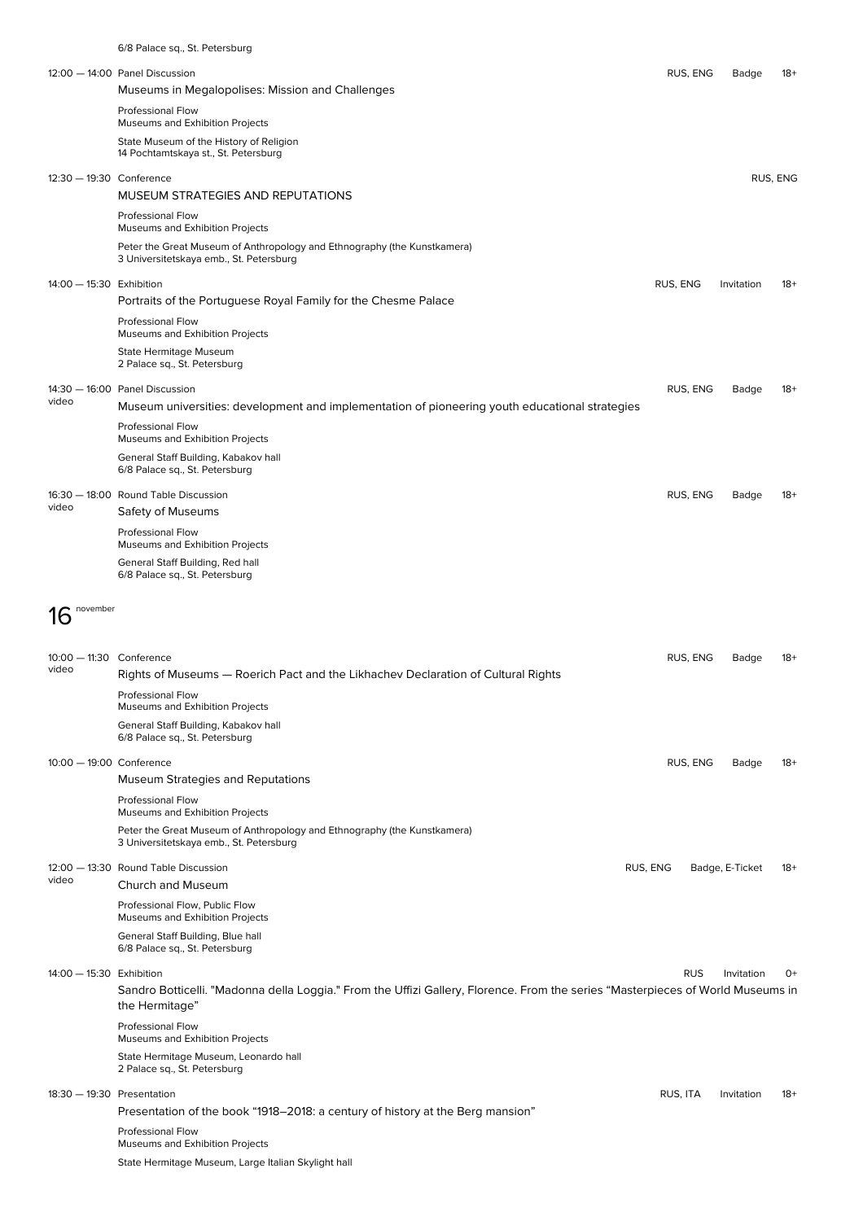|                                   | 6/8 Palace sq., St. Petersburg                                                                                                                    |            |                 |          |
|-----------------------------------|---------------------------------------------------------------------------------------------------------------------------------------------------|------------|-----------------|----------|
|                                   | 12:00 - 14:00 Panel Discussion<br>Museums in Megalopolises: Mission and Challenges                                                                | RUS, ENG   | Badge           | $18+$    |
|                                   | Professional Flow<br>Museums and Exhibition Projects                                                                                              |            |                 |          |
|                                   | State Museum of the History of Religion<br>14 Pochtamtskaya st., St. Petersburg                                                                   |            |                 |          |
| 12:30 - 19:30 Conference          |                                                                                                                                                   |            |                 | RUS, ENG |
|                                   | MUSEUM STRATEGIES AND REPUTATIONS<br><b>Professional Flow</b>                                                                                     |            |                 |          |
|                                   | Museums and Exhibition Projects<br>Peter the Great Museum of Anthropology and Ethnography (the Kunstkamera)                                       |            |                 |          |
| 14:00 - 15:30 Exhibition          | 3 Universitetskaya emb., St. Petersburg                                                                                                           | RUS, ENG   | Invitation      | $18+$    |
|                                   | Portraits of the Portuguese Royal Family for the Chesme Palace                                                                                    |            |                 |          |
|                                   | <b>Professional Flow</b><br>Museums and Exhibition Projects                                                                                       |            |                 |          |
|                                   | State Hermitage Museum<br>2 Palace sq., St. Petersburg                                                                                            |            |                 |          |
| video                             | 14:30 - 16:00 Panel Discussion<br>Museum universities: development and implementation of pioneering youth educational strategies                  | RUS, ENG   | Badge           | $18+$    |
|                                   | Professional Flow<br>Museums and Exhibition Projects                                                                                              |            |                 |          |
|                                   | General Staff Building, Kabakov hall<br>6/8 Palace sq., St. Petersburg                                                                            |            |                 |          |
| video                             | 16:30 - 18:00 Round Table Discussion<br>Safety of Museums                                                                                         | RUS, ENG   | Badge           | $18+$    |
|                                   | Professional Flow<br>Museums and Exhibition Projects                                                                                              |            |                 |          |
|                                   | General Staff Building, Red hall<br>6/8 Palace sq., St. Petersburg                                                                                |            |                 |          |
| november                          |                                                                                                                                                   |            |                 |          |
| Ih                                |                                                                                                                                                   |            |                 |          |
| 10:00 - 11:30 Conference<br>video | Rights of Museums - Roerich Pact and the Likhachev Declaration of Cultural Rights                                                                 | RUS, ENG   | Badge           | -18      |
|                                   | <b>Professional Flow</b><br>Museums and Exhibition Projects                                                                                       |            |                 |          |
|                                   | General Staff Building, Kabakov hall<br>6/8 Palace sq., St. Petersburg                                                                            |            |                 |          |
| 10:00 - 19:00 Conference          | Museum Strategies and Reputations                                                                                                                 | RUS, ENG   | Badge           | $18+$    |
|                                   | <b>Professional Flow</b><br>Museums and Exhibition Projects                                                                                       |            |                 |          |
|                                   | Peter the Great Museum of Anthropology and Ethnography (the Kunstkamera)<br>3 Universitetskaya emb., St. Petersburg                               |            |                 |          |
| video                             | 12:00 - 13:30 Round Table Discussion                                                                                                              | RUS, ENG   | Badge, E-Ticket | 18+      |
|                                   | Church and Museum<br>Professional Flow, Public Flow                                                                                               |            |                 |          |
|                                   | Museums and Exhibition Projects<br>General Staff Building, Blue hall<br>6/8 Palace sq., St. Petersburg                                            |            |                 |          |
| 14:00 - 15:30 Exhibition          |                                                                                                                                                   | <b>RUS</b> | Invitation      | $O+$     |
|                                   | Sandro Botticelli. "Madonna della Loggia." From the Uffizi Gallery, Florence. From the series "Masterpieces of World Museums in<br>the Hermitage" |            |                 |          |
|                                   | Professional Flow<br>Museums and Exhibition Projects                                                                                              |            |                 |          |
|                                   | State Hermitage Museum, Leonardo hall<br>2 Palace sq., St. Petersburg                                                                             |            |                 |          |
| 18:30 - 19:30 Presentation        | Presentation of the book "1918–2018: a century of history at the Berg mansion"                                                                    | RUS, ITA   | Invitation      | $18+$    |
|                                   | Professional Flow<br>Museums and Exhibition Projects                                                                                              |            |                 |          |
|                                   | State Hermitage Museum, Large Italian Skylight hall                                                                                               |            |                 |          |